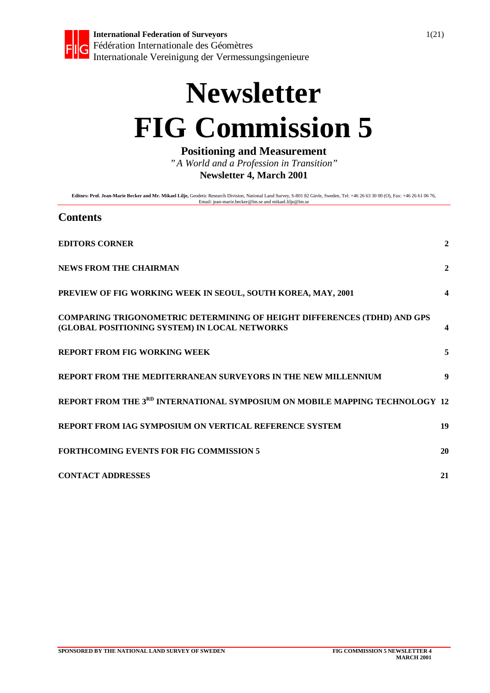

# **Newsletter FIG Commission 5**

**Positioning and Measurement**

*"A World and a Profession in Transition"* **Newsletter 4, March 2001**

**Editors: Prof. Jean-Marie Becker and Mr. Mikael Lilje,** Geodetic Research Division, National Land Survey, S-801 82 Gävle, Sweden, Tel: +46 26 63 30 00 (O), Fax: +46 26 61 06 76,<br>Email: jean-marie.becker@lm.se and mikael.l

#### **Contents**

| <b>EDITORS CORNER</b>                                                                                                            | $\overline{2}$   |
|----------------------------------------------------------------------------------------------------------------------------------|------------------|
| <b>NEWS FROM THE CHAIRMAN</b>                                                                                                    | $\mathbf{2}$     |
| PREVIEW OF FIG WORKING WEEK IN SEOUL, SOUTH KOREA, MAY, 2001                                                                     | $\boldsymbol{4}$ |
| <b>COMPARING TRIGONOMETRIC DETERMINING OF HEIGHT DIFFERENCES (TDHD) AND GPS</b><br>(GLOBAL POSITIONING SYSTEM) IN LOCAL NETWORKS |                  |
| <b>REPORT FROM FIG WORKING WEEK</b>                                                                                              | 5                |
| REPORT FROM THE MEDITERRANEAN SURVEYORS IN THE NEW MILLENNIUM                                                                    | 9                |
| REPORT FROM THE 3RD INTERNATIONAL SYMPOSIUM ON MOBILE MAPPING TECHNOLOGY 12                                                      |                  |
| REPORT FROM IAG SYMPOSIUM ON VERTICAL REFERENCE SYSTEM                                                                           | 19               |
| <b>FORTHCOMING EVENTS FOR FIG COMMISSION 5</b>                                                                                   | 20               |
| <b>CONTACT ADDRESSES</b>                                                                                                         | 21               |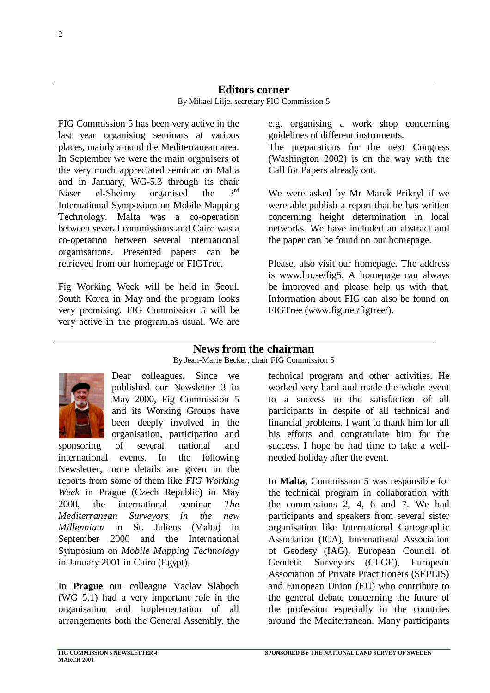#### **Editors corner**

By Mikael Lilje, secretary FIG Commission 5

FIG Commission 5 has been very active in the last year organising seminars at various places, mainly around the Mediterranean area. In September we were the main organisers of the very much appreciated seminar on Malta and in January, WG-5.3 through its chair Naser el-Sheimy organised the 3<sup>rd</sup> International Symposium on Mobile Mapping Technology. Malta was a co-operation between several commissions and Cairo was a co-operation between several international organisations. Presented papers can be retrieved from our homepage or FIGTree.

Fig Working Week will be held in Seoul, South Korea in May and the program looks very promising. FIG Commission 5 will be very active in the program,as usual. We are e.g. organising a work shop concerning guidelines of different instruments.

The preparations for the next Congress (Washington 2002) is on the way with the Call for Papers already out.

We were asked by Mr Marek Prikryl if we were able publish a report that he has written concerning height determination in local networks. We have included an abstract and the paper can be found on our homepage.

Please, also visit our homepage. The address is www.lm.se/fig5. A homepage can always be improved and please help us with that. Information about FIG can also be found on FIGTree (www.fig.net/figtree/).

### **News from the chairman**

#### By Jean-Marie Becker, chair FIG Commission 5



Dear colleagues, Since we published our Newsletter 3 in May 2000, Fig Commission 5 and its Working Groups have been deeply involved in the organisation, participation and

sponsoring of several national and international events. In the following Newsletter, more details are given in the reports from some of them like *FIG Working Week* in Prague (Czech Republic) in May 2000, the international seminar *The Mediterranean Surveyors in the new Millennium* in St. Juliens (Malta) in September 2000 and the International Symposium on *Mobile Mapping Technology* in January 2001 in Cairo (Egypt).

In **Prague** our colleague Vaclav Slaboch (WG 5.1) had a very important role in the organisation and implementation of all arrangements both the General Assembly, the

technical program and other activities. He worked very hard and made the whole event to a success to the satisfaction of all participants in despite of all technical and financial problems. I want to thank him for all his efforts and congratulate him for the success. I hope he had time to take a wellneeded holiday after the event.

In **Malta**, Commission 5 was responsible for the technical program in collaboration with the commissions 2, 4, 6 and 7. We had participants and speakers from several sister organisation like International Cartographic Association (ICA), International Association of Geodesy (IAG), European Council of Geodetic Surveyors (CLGE), European Association of Private Practitioners (SEPLIS) and European Union (EU) who contribute to the general debate concerning the future of the profession especially in the countries around the Mediterranean. Many participants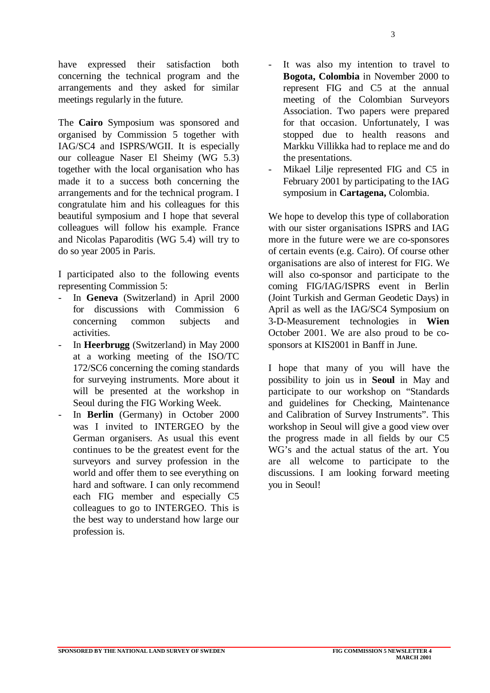have expressed their satisfaction both concerning the technical program and the arrangements and they asked for similar meetings regularly in the future.

The **Cairo** Symposium was sponsored and organised by Commission 5 together with IAG/SC4 and ISPRS/WGII. It is especially our colleague Naser El Sheimy (WG 5.3) together with the local organisation who has made it to a success both concerning the arrangements and for the technical program. I congratulate him and his colleagues for this beautiful symposium and I hope that several colleagues will follow his example. France and Nicolas Paparoditis (WG 5.4) will try to do so year 2005 in Paris.

I participated also to the following events representing Commission 5:

- In **Geneva** (Switzerland) in April 2000 for discussions with Commission 6 concerning common subjects and activities.
- In **Heerbrugg** (Switzerland) in May 2000 at a working meeting of the ISO/TC 172/SC6 concerning the coming standards for surveying instruments. More about it will be presented at the workshop in Seoul during the FIG Working Week.
- In **Berlin** (Germany) in October 2000 was I invited to INTERGEO by the German organisers. As usual this event continues to be the greatest event for the surveyors and survey profession in the world and offer them to see everything on hard and software. I can only recommend each FIG member and especially C5 colleagues to go to INTERGEO. This is the best way to understand how large our profession is.
- It was also my intention to travel to **Bogota, Colombia** in November 2000 to represent FIG and C5 at the annual meeting of the Colombian Surveyors Association. Two papers were prepared for that occasion. Unfortunately, I was stopped due to health reasons and Markku Villikka had to replace me and do the presentations.
- Mikael Lilje represented FIG and C5 in February 2001 by participating to the IAG symposium in **Cartagena,** Colombia.

We hope to develop this type of collaboration with our sister organisations ISPRS and IAG more in the future were we are co-sponsores of certain events (e.g. Cairo). Of course other organisations are also of interest for FIG. We will also co-sponsor and participate to the coming FIG/IAG/ISPRS event in Berlin (Joint Turkish and German Geodetic Days) in April as well as the IAG/SC4 Symposium on 3-D-Measurement technologies in **Wien** October 2001. We are also proud to be cosponsors at KIS2001 in Banff in June.

I hope that many of you will have the possibility to join us in **Seoul** in May and participate to our workshop on "Standards and guidelines for Checking, Maintenance and Calibration of Survey Instruments". This workshop in Seoul will give a good view over the progress made in all fields by our C5 WG's and the actual status of the art. You are all welcome to participate to the discussions. I am looking forward meeting you in Seoul!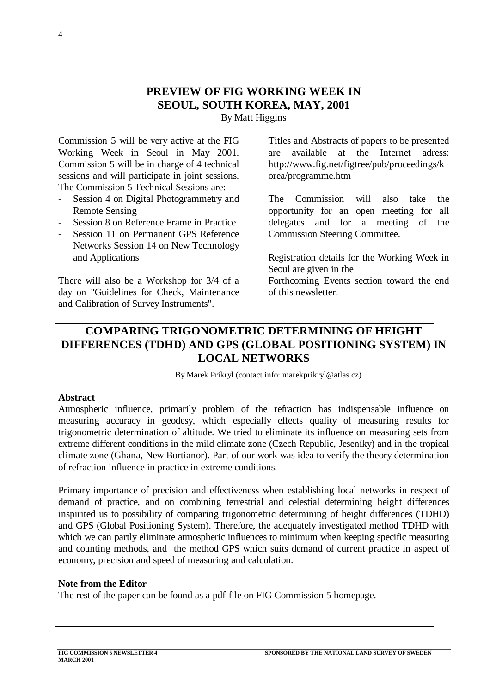## **PREVIEW OF FIG WORKING WEEK IN SEOUL, SOUTH KOREA, MAY, 2001** By Matt Higgins

Commission 5 will be very active at the FIG Working Week in Seoul in May 2001. Commission 5 will be in charge of 4 technical sessions and will participate in joint sessions. The Commission 5 Technical Sessions are:

- Session 4 on Digital Photogrammetry and Remote Sensing
- Session 8 on Reference Frame in Practice
- Session 11 on Permanent GPS Reference Networks Session 14 on New Technology and Applications

There will also be a Workshop for 3/4 of a day on "Guidelines for Check, Maintenance and Calibration of Survey Instruments".

Titles and Abstracts of papers to be presented are available at the Internet adress: http://www.fig.net/figtree/pub/proceedings/k orea/programme.htm

The Commission will also take the opportunity for an open meeting for all delegates and for a meeting of the Commission Steering Committee.

Registration details for the Working Week in Seoul are given in the

Forthcoming Events section toward the end of this newsletter.

# **COMPARING TRIGONOMETRIC DETERMINING OF HEIGHT DIFFERENCES (TDHD) AND GPS (GLOBAL POSITIONING SYSTEM) IN LOCAL NETWORKS**

By Marek Prikryl (contact info: marekprikryl@atlas.cz)

#### **Abstract**

Atmospheric influence, primarily problem of the refraction has indispensable influence on measuring accuracy in geodesy, which especially effects quality of measuring results for trigonometric determination of altitude. We tried to eliminate its influence on measuring sets from extreme different conditions in the mild climate zone (Czech Republic, Jeseníky) and in the tropical climate zone (Ghana, New Bortianor). Part of our work was idea to verify the theory determination of refraction influence in practice in extreme conditions.

Primary importance of precision and effectiveness when establishing local networks in respect of demand of practice, and on combining terrestrial and celestial determining height differences inspirited us to possibility of comparing trigonometric determining of height differences (TDHD) and GPS (Global Positioning System). Therefore, the adequately investigated method TDHD with which we can partly eliminate atmospheric influences to minimum when keeping specific measuring and counting methods, and the method GPS which suits demand of current practice in aspect of economy, precision and speed of measuring and calculation.

#### **Note from the Editor**

The rest of the paper can be found as a pdf-file on FIG Commission 5 homepage.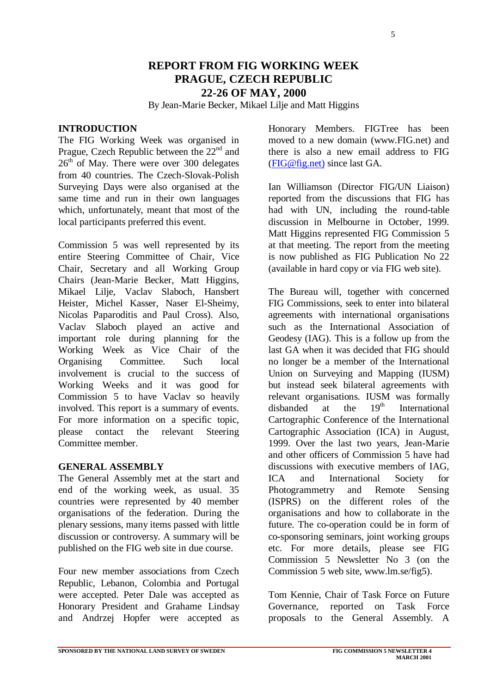5

# **REPORT FROM FIG WORKING WEEK PRAGUE, CZECH REPUBLIC 22-26 OF MAY, 2000**

By Jean-Marie Becker, Mikael Lilje and Matt Higgins

#### **INTRODUCTION**

The FIG Working Week was organised in Prague, Czech Republic between the  $22<sup>nd</sup>$  and  $26<sup>th</sup>$  of May. There were over 300 delegates from 40 countries. The Czech-Slovak-Polish Surveying Days were also organised at the same time and run in their own languages which, unfortunately, meant that most of the local participants preferred this event.

Commission 5 was well represented by its entire Steering Committee of Chair, Vice Chair, Secretary and all Working Group Chairs (Jean-Marie Becker, Matt Higgins, Mikael Lilje, Vaclav Slaboch, Hansbert Heister, Michel Kasser, Naser El-Sheimy, Nicolas Paparoditis and Paul Cross). Also, Vaclav Slaboch played an active and important role during planning for the Working Week as Vice Chair of the Organising Committee. Such local involvement is crucial to the success of Working Weeks and it was good for Commission 5 to have Vaclav so heavily involved. This report is a summary of events. For more information on a specific topic, please contact the relevant Steering Committee member.

#### **GENERAL ASSEMBLY**

The General Assembly met at the start and end of the working week, as usual. 35 countries were represented by 40 member organisations of the federation. During the plenary sessions, many items passed with little discussion or controversy. A summary will be published on the FIG web site in due course.

Four new member associations from Czech Republic, Lebanon, Colombia and Portugal were accepted. Peter Dale was accepted as Honorary President and Grahame Lindsay and Andrzej Hopfer were accepted as Honorary Members. FIGTree has been moved to a new domain (www.FIG.net) and there is also a new email address to FIG (FIG@fig.net) since last GA.

Ian Williamson (Director FIG/UN Liaison) reported from the discussions that FIG has had with UN, including the round-table discussion in Melbourne in October, 1999. Matt Higgins represented FIG Commission 5 at that meeting. The report from the meeting is now published as FIG Publication No 22 (available in hard copy or via FIG web site).

The Bureau will, together with concerned FIG Commissions, seek to enter into bilateral agreements with international organisations such as the International Association of Geodesy (IAG). This is a follow up from the last GA when it was decided that FIG should no longer be a member of the International Union on Surveying and Mapping (IUSM) but instead seek bilateral agreements with relevant organisations. IUSM was formally disbanded at the  $19<sup>th</sup>$  International Cartographic Conference of the International Cartographic Association (ICA) in August, 1999. Over the last two years, Jean-Marie and other officers of Commission 5 have had discussions with executive members of IAG, ICA and International Society for Photogrammetry and Remote Sensing (ISPRS) on the different roles of the organisations and how to collaborate in the future. The co-operation could be in form of co-sponsoring seminars, joint working groups etc. For more details, please see FIG Commission 5 Newsletter No 3 (on the Commission 5 web site, www.lm.se/fig5).

Tom Kennie, Chair of Task Force on Future Governance, reported on Task Force proposals to the General Assembly. A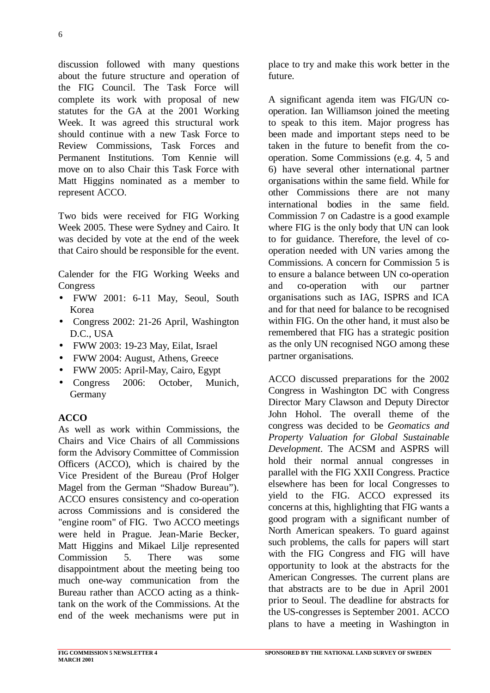discussion followed with many questions about the future structure and operation of the FIG Council. The Task Force will complete its work with proposal of new statutes for the GA at the 2001 Working Week. It was agreed this structural work should continue with a new Task Force to Review Commissions, Task Forces and Permanent Institutions. Tom Kennie will move on to also Chair this Task Force with Matt Higgins nominated as a member to represent ACCO.

Two bids were received for FIG Working Week 2005. These were Sydney and Cairo. It was decided by vote at the end of the week that Cairo should be responsible for the event.

Calender for the FIG Working Weeks and Congress

- FWW 2001: 6-11 May, Seoul, South Korea
- Congress 2002: 21-26 April, Washington D.C., USA
- FWW 2003: 19-23 May, Eilat, Israel
- FWW 2004: August, Athens, Greece
- FWW 2005: April-May, Cairo, Egypt
- Congress 2006: October, Munich, **Germany**

### **ACCO**

As well as work within Commissions, the Chairs and Vice Chairs of all Commissions form the Advisory Committee of Commission Officers (ACCO), which is chaired by the Vice President of the Bureau (Prof Holger Magel from the German "Shadow Bureau"). ACCO ensures consistency and co-operation across Commissions and is considered the "engine room" of FIG. Two ACCO meetings were held in Prague. Jean-Marie Becker, Matt Higgins and Mikael Lilje represented Commission 5. There was some disappointment about the meeting being too much one-way communication from the Bureau rather than ACCO acting as a thinktank on the work of the Commissions. At the end of the week mechanisms were put in

place to try and make this work better in the future.

A significant agenda item was FIG/UN cooperation. Ian Williamson joined the meeting to speak to this item. Major progress has been made and important steps need to be taken in the future to benefit from the cooperation. Some Commissions (e.g. 4, 5 and 6) have several other international partner organisations within the same field. While for other Commissions there are not many international bodies in the same field. Commission 7 on Cadastre is a good example where FIG is the only body that UN can look to for guidance. Therefore, the level of cooperation needed with UN varies among the Commissions. A concern for Commission 5 is to ensure a balance between UN co-operation and co-operation with our partner organisations such as IAG, ISPRS and ICA and for that need for balance to be recognised within FIG. On the other hand, it must also be remembered that FIG has a strategic position as the only UN recognised NGO among these partner organisations.

ACCO discussed preparations for the 2002 Congress in Washington DC with Congress Director Mary Clawson and Deputy Director John Hohol. The overall theme of the congress was decided to be *Geomatics and Property Valuation for Global Sustainable Development*. The ACSM and ASPRS will hold their normal annual congresses in parallel with the FIG XXII Congress. Practice elsewhere has been for local Congresses to yield to the FIG. ACCO expressed its concerns at this, highlighting that FIG wants a good program with a significant number of North American speakers. To guard against such problems, the calls for papers will start with the FIG Congress and FIG will have opportunity to look at the abstracts for the American Congresses. The current plans are that abstracts are to be due in April 2001 prior to Seoul. The deadline for abstracts for the US-congresses is September 2001. ACCO plans to have a meeting in Washington in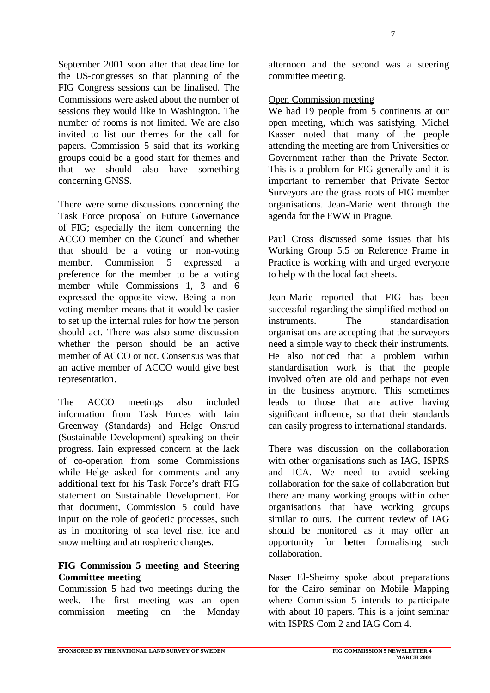September 2001 soon after that deadline for the US-congresses so that planning of the FIG Congress sessions can be finalised. The Commissions were asked about the number of sessions they would like in Washington. The number of rooms is not limited. We are also invited to list our themes for the call for papers. Commission 5 said that its working groups could be a good start for themes and that we should also have something concerning GNSS.

There were some discussions concerning the Task Force proposal on Future Governance of FIG; especially the item concerning the ACCO member on the Council and whether that should be a voting or non-voting member. Commission 5 expressed a preference for the member to be a voting member while Commissions 1, 3 and 6 expressed the opposite view. Being a nonvoting member means that it would be easier to set up the internal rules for how the person should act. There was also some discussion whether the person should be an active member of ACCO or not. Consensus was that an active member of ACCO would give best representation.

The ACCO meetings also included information from Task Forces with Iain Greenway (Standards) and Helge Onsrud (Sustainable Development) speaking on their progress. Iain expressed concern at the lack of co-operation from some Commissions while Helge asked for comments and any additional text for his Task Force's draft FIG statement on Sustainable Development. For that document, Commission 5 could have input on the role of geodetic processes, such as in monitoring of sea level rise, ice and snow melting and atmospheric changes.

#### **FIG Commission 5 meeting and Steering Committee meeting**

Commission 5 had two meetings during the week. The first meeting was an open commission meeting on the Monday

afternoon and the second was a steering committee meeting.

Open Commission meeting

We had 19 people from 5 continents at our open meeting, which was satisfying. Michel Kasser noted that many of the people attending the meeting are from Universities or Government rather than the Private Sector. This is a problem for FIG generally and it is important to remember that Private Sector Surveyors are the grass roots of FIG member organisations. Jean-Marie went through the agenda for the FWW in Prague.

Paul Cross discussed some issues that his Working Group 5.5 on Reference Frame in Practice is working with and urged everyone to help with the local fact sheets.

Jean-Marie reported that FIG has been successful regarding the simplified method on instruments. The standardisation organisations are accepting that the surveyors need a simple way to check their instruments. He also noticed that a problem within standardisation work is that the people involved often are old and perhaps not even in the business anymore. This sometimes leads to those that are active having significant influence, so that their standards can easily progress to international standards.

There was discussion on the collaboration with other organisations such as IAG, ISPRS and ICA. We need to avoid seeking collaboration for the sake of collaboration but there are many working groups within other organisations that have working groups similar to ours. The current review of IAG should be monitored as it may offer an opportunity for better formalising such collaboration.

Naser El-Sheimy spoke about preparations for the Cairo seminar on Mobile Mapping where Commission 5 intends to participate with about 10 papers. This is a joint seminar with ISPRS Com 2 and IAG Com 4.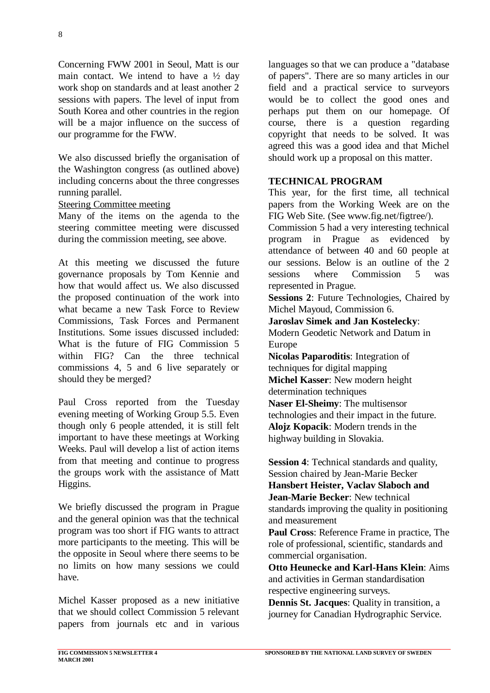Concerning FWW 2001 in Seoul, Matt is our main contact. We intend to have a  $\frac{1}{2}$  day work shop on standards and at least another 2 sessions with papers. The level of input from South Korea and other countries in the region will be a major influence on the success of our programme for the FWW.

We also discussed briefly the organisation of the Washington congress (as outlined above) including concerns about the three congresses running parallel.

Steering Committee meeting

Many of the items on the agenda to the steering committee meeting were discussed during the commission meeting, see above.

At this meeting we discussed the future governance proposals by Tom Kennie and how that would affect us. We also discussed the proposed continuation of the work into what became a new Task Force to Review Commissions, Task Forces and Permanent Institutions. Some issues discussed included: What is the future of FIG Commission 5 within FIG? Can the three technical commissions 4, 5 and 6 live separately or should they be merged?

Paul Cross reported from the Tuesday evening meeting of Working Group 5.5. Even though only 6 people attended, it is still felt important to have these meetings at Working Weeks. Paul will develop a list of action items from that meeting and continue to progress the groups work with the assistance of Matt Higgins.

We briefly discussed the program in Prague and the general opinion was that the technical program was too short if FIG wants to attract more participants to the meeting. This will be the opposite in Seoul where there seems to be no limits on how many sessions we could have.

Michel Kasser proposed as a new initiative that we should collect Commission 5 relevant papers from journals etc and in various

languages so that we can produce a "database of papers". There are so many articles in our field and a practical service to surveyors would be to collect the good ones and perhaps put them on our homepage. Of course, there is a question regarding copyright that needs to be solved. It was agreed this was a good idea and that Michel should work up a proposal on this matter.

#### **TECHNICAL PROGRAM**

This year, for the first time, all technical papers from the Working Week are on the FIG Web Site. (See www.fig.net/figtree/).

Commission 5 had a very interesting technical program in Prague as evidenced by attendance of between 40 and 60 people at our sessions. Below is an outline of the 2 sessions where Commission 5 was represented in Prague.

**Sessions 2**: Future Technologies, Chaired by Michel Mayoud, Commission 6.

**Jaroslav Simek and Jan Kostelecky**: Modern Geodetic Network and Datum in

Europe

**Nicolas Paparoditis**: Integration of techniques for digital mapping **Michel Kasser**: New modern height determination techniques **Naser El-Sheimy**: The multisensor technologies and their impact in the future. **Alojz Kopacik**: Modern trends in the highway building in Slovakia.

**Session 4**: Technical standards and quality, Session chaired by Jean-Marie Becker **Hansbert Heister, Vaclav Slaboch and Jean-Marie Becker**: New technical standards improving the quality in positioning and measurement

**Paul Cross**: Reference Frame in practice, The role of professional, scientific, standards and commercial organisation.

**Otto Heunecke and Karl-Hans Klein**: Aims and activities in German standardisation respective engineering surveys.

**Dennis St. Jacques**: Quality in transition, a journey for Canadian Hydrographic Service.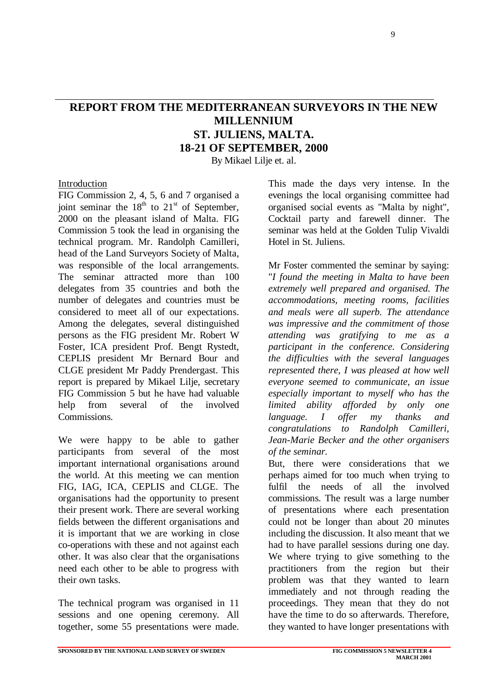# **REPORT FROM THE MEDITERRANEAN SURVEYORS IN THE NEW MILLENNIUM ST. JULIENS, MALTA. 18-21 OF SEPTEMBER, 2000**

By Mikael Lilje et. al.

#### Introduction

FIG Commission 2, 4, 5, 6 and 7 organised a joint seminar the  $18<sup>th</sup>$  to  $21<sup>st</sup>$  of September, 2000 on the pleasant island of Malta. FIG Commission 5 took the lead in organising the technical program. Mr. Randolph Camilleri, head of the Land Surveyors Society of Malta, was responsible of the local arrangements. The seminar attracted more than 100 delegates from 35 countries and both the number of delegates and countries must be considered to meet all of our expectations. Among the delegates, several distinguished persons as the FIG president Mr. Robert W Foster, ICA president Prof. Bengt Rystedt, CEPLIS president Mr Bernard Bour and CLGE president Mr Paddy Prendergast. This report is prepared by Mikael Lilje, secretary FIG Commission 5 but he have had valuable help from several of the involved Commissions.

We were happy to be able to gather participants from several of the most important international organisations around the world. At this meeting we can mention FIG, IAG, ICA, CEPLIS and CLGE. The organisations had the opportunity to present their present work. There are several working fields between the different organisations and it is important that we are working in close co-operations with these and not against each other. It was also clear that the organisations need each other to be able to progress with their own tasks.

The technical program was organised in 11 sessions and one opening ceremony. All together, some 55 presentations were made. This made the days very intense. In the evenings the local organising committee had organised social events as "Malta by night", Cocktail party and farewell dinner. The seminar was held at the Golden Tulip Vivaldi Hotel in St. Juliens.

Mr Foster commented the seminar by saying: "*I found the meeting in Malta to have been extremely well prepared and organised. The accommodations, meeting rooms, facilities and meals were all superb. The attendance was impressive and the commitment of those attending was gratifying to me as a participant in the conference. Considering the difficulties with the several languages represented there, I was pleased at how well everyone seemed to communicate, an issue especially important to myself who has the limited ability afforded by only one language. I offer my thanks and congratulations to Randolph Camilleri, Jean-Marie Becker and the other organisers of the seminar.*

But, there were considerations that we perhaps aimed for too much when trying to fulfil the needs of all the involved commissions. The result was a large number of presentations where each presentation could not be longer than about 20 minutes including the discussion. It also meant that we had to have parallel sessions during one day. We where trying to give something to the practitioners from the region but their problem was that they wanted to learn immediately and not through reading the proceedings. They mean that they do not have the time to do so afterwards. Therefore, they wanted to have longer presentations with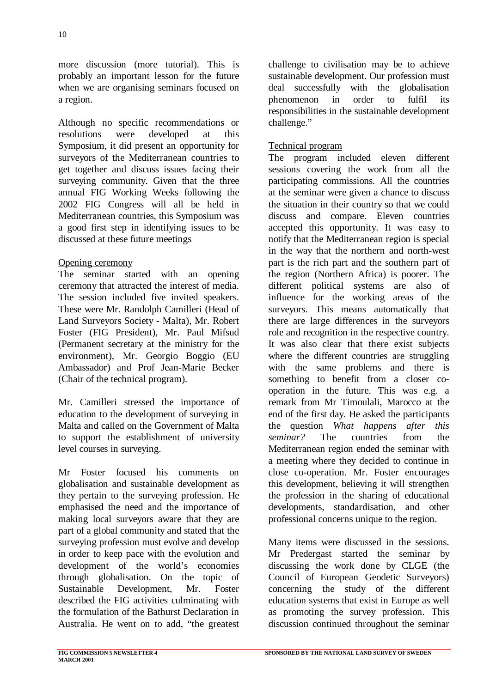more discussion (more tutorial). This is probably an important lesson for the future when we are organising seminars focused on a region.

Although no specific recommendations or resolutions were developed at this Symposium, it did present an opportunity for surveyors of the Mediterranean countries to get together and discuss issues facing their surveying community. Given that the three annual FIG Working Weeks following the 2002 FIG Congress will all be held in Mediterranean countries, this Symposium was a good first step in identifying issues to be discussed at these future meetings

#### Opening ceremony

The seminar started with an opening ceremony that attracted the interest of media. The session included five invited speakers. These were Mr. Randolph Camilleri (Head of Land Surveyors Society - Malta), Mr. Robert Foster (FIG President), Mr. Paul Mifsud (Permanent secretary at the ministry for the environment), Mr. Georgio Boggio (EU Ambassador) and Prof Jean-Marie Becker (Chair of the technical program).

Mr. Camilleri stressed the importance of education to the development of surveying in Malta and called on the Government of Malta to support the establishment of university level courses in surveying.

Mr Foster focused his comments on globalisation and sustainable development as they pertain to the surveying profession. He emphasised the need and the importance of making local surveyors aware that they are part of a global community and stated that the surveying profession must evolve and develop in order to keep pace with the evolution and development of the world's economies through globalisation. On the topic of Sustainable Development, Mr. Foster described the FIG activities culminating with the formulation of the Bathurst Declaration in Australia. He went on to add, "the greatest

challenge to civilisation may be to achieve sustainable development. Our profession must deal successfully with the globalisation phenomenon in order to fulfil its responsibilities in the sustainable development challenge."

#### Technical program

The program included eleven different sessions covering the work from all the participating commissions. All the countries at the seminar were given a chance to discuss the situation in their country so that we could discuss and compare. Eleven countries accepted this opportunity. It was easy to notify that the Mediterranean region is special in the way that the northern and north-west part is the rich part and the southern part of the region (Northern Africa) is poorer. The different political systems are also of influence for the working areas of the surveyors. This means automatically that there are large differences in the surveyors role and recognition in the respective country. It was also clear that there exist subjects where the different countries are struggling with the same problems and there is something to benefit from a closer cooperation in the future. This was e.g. a remark from Mr Timoulali, Marocco at the end of the first day. He asked the participants the question *What happens after this seminar?* The countries from the Mediterranean region ended the seminar with a meeting where they decided to continue in close co-operation. Mr. Foster encourages this development, believing it will strengthen the profession in the sharing of educational developments, standardisation, and other professional concerns unique to the region.

Many items were discussed in the sessions. Mr Predergast started the seminar by discussing the work done by CLGE (the Council of European Geodetic Surveyors) concerning the study of the different education systems that exist in Europe as well as promoting the survey profession. This discussion continued throughout the seminar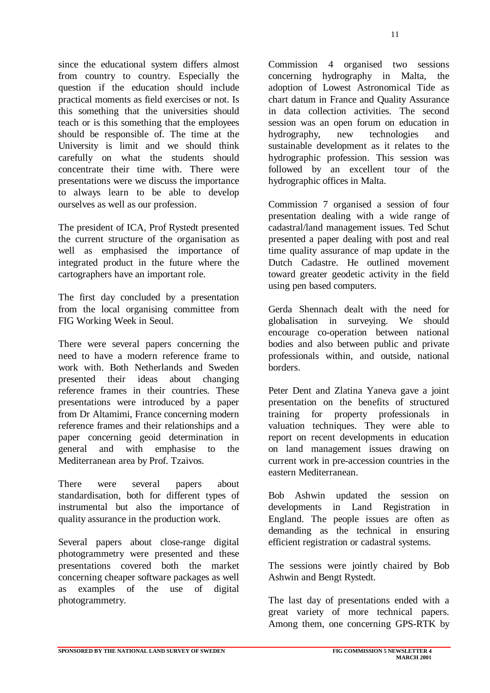since the educational system differs almost from country to country. Especially the question if the education should include practical moments as field exercises or not. Is this something that the universities should teach or is this something that the employees should be responsible of. The time at the University is limit and we should think carefully on what the students should concentrate their time with. There were presentations were we discuss the importance to always learn to be able to develop ourselves as well as our profession.

The president of ICA, Prof Rystedt presented the current structure of the organisation as well as emphasised the importance of integrated product in the future where the cartographers have an important role.

The first day concluded by a presentation from the local organising committee from FIG Working Week in Seoul.

There were several papers concerning the need to have a modern reference frame to work with. Both Netherlands and Sweden presented their ideas about changing reference frames in their countries. These presentations were introduced by a paper from Dr Altamimi, France concerning modern reference frames and their relationships and a paper concerning geoid determination in general and with emphasise to the Mediterranean area by Prof. Tzaivos.

There were several papers about standardisation, both for different types of instrumental but also the importance of quality assurance in the production work.

Several papers about close-range digital photogrammetry were presented and these presentations covered both the market concerning cheaper software packages as well as examples of the use of digital photogrammetry.

Commission 4 organised two sessions concerning hydrography in Malta, the adoption of Lowest Astronomical Tide as chart datum in France and Quality Assurance in data collection activities. The second session was an open forum on education in hydrography, new technologies and sustainable development as it relates to the hydrographic profession. This session was followed by an excellent tour of the hydrographic offices in Malta.

Commission 7 organised a session of four presentation dealing with a wide range of cadastral/land management issues. Ted Schut presented a paper dealing with post and real time quality assurance of map update in the Dutch Cadastre. He outlined movement toward greater geodetic activity in the field using pen based computers.

Gerda Shennach dealt with the need for globalisation in surveying. We should encourage co-operation between national bodies and also between public and private professionals within, and outside, national borders.

Peter Dent and Zlatina Yaneva gave a joint presentation on the benefits of structured training for property professionals in valuation techniques. They were able to report on recent developments in education on land management issues drawing on current work in pre-accession countries in the eastern Mediterranean.

Bob Ashwin updated the session on developments in Land Registration in England. The people issues are often as demanding as the technical in ensuring efficient registration or cadastral systems.

The sessions were jointly chaired by Bob Ashwin and Bengt Rystedt.

The last day of presentations ended with a great variety of more technical papers. Among them, one concerning GPS-RTK by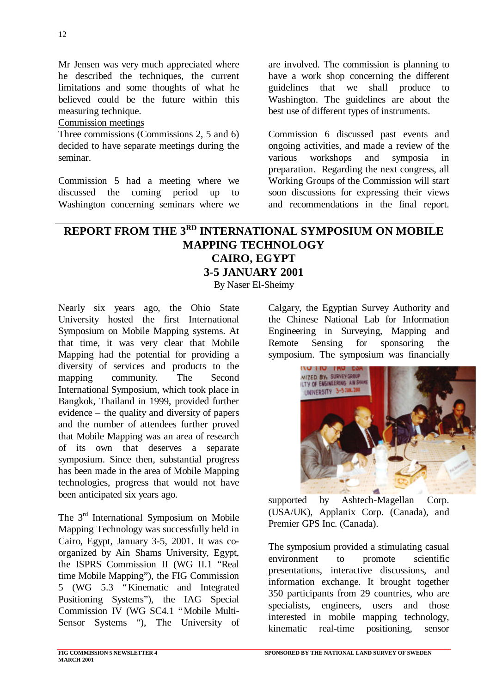Mr Jensen was very much appreciated where he described the techniques, the current limitations and some thoughts of what he believed could be the future within this measuring technique.

#### Commission meetings

Three commissions (Commissions 2, 5 and 6) decided to have separate meetings during the seminar.

Commission 5 had a meeting where we discussed the coming period up to Washington concerning seminars where we are involved. The commission is planning to have a work shop concerning the different guidelines that we shall produce to Washington. The guidelines are about the best use of different types of instruments.

Commission 6 discussed past events and ongoing activities, and made a review of the various workshops and symposia in preparation. Regarding the next congress, all Working Groups of the Commission will start soon discussions for expressing their views and recommendations in the final report.

# **REPORT FROM THE 3RD INTERNATIONAL SYMPOSIUM ON MOBILE MAPPING TECHNOLOGY CAIRO, EGYPT 3-5 JANUARY 2001**

By Naser El-Sheimy

Nearly six years ago, the Ohio State University hosted the first International Symposium on Mobile Mapping systems. At that time, it was very clear that Mobile Mapping had the potential for providing a diversity of services and products to the mapping community. The Second International Symposium, which took place in Bangkok, Thailand in 1999, provided further evidence – the quality and diversity of papers and the number of attendees further proved that Mobile Mapping was an area of research of its own that deserves a separate symposium. Since then, substantial progress has been made in the area of Mobile Mapping technologies, progress that would not have been anticipated six years ago.

The 3<sup>rd</sup> International Symposium on Mobile Mapping Technology was successfully held in Cairo, Egypt, January 3-5, 2001. It was coorganized by Ain Shams University, Egypt, the ISPRS Commission II (WG II.1 "Real time Mobile Mapping"), the FIG Commission 5 (WG 5.3 "Kinematic and Integrated Positioning Systems"), the IAG Special Commission IV (WG SC4.1 "Mobile Multi-Sensor Systems "), The University of Calgary, the Egyptian Survey Authority and the Chinese National Lab for Information Engineering in Surveying, Mapping and Remote Sensing for sponsoring the symposium. The symposium was financially



supported by Ashtech-Magellan Corp. (USA/UK), Applanix Corp. (Canada), and Premier GPS Inc. (Canada).

The symposium provided a stimulating casual environment to promote scientific presentations, interactive discussions, and information exchange. It brought together 350 participants from 29 countries, who are specialists, engineers, users and those interested in mobile mapping technology, kinematic real-time positioning, sensor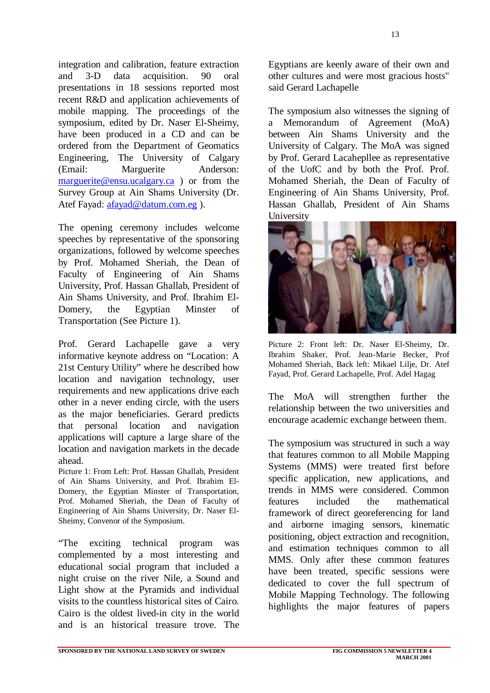integration and calibration, feature extraction and 3-D data acquisition. 90 oral presentations in 18 sessions reported most recent R&D and application achievements of mobile mapping. The proceedings of the symposium, edited by Dr. Naser El-Sheimy, have been produced in a CD and can be ordered from the Department of Geomatics Engineering, The University of Calgary (Email: Marguerite Anderson: marguerite@ensu.ucalgary.ca ) or from the Survey Group at Ain Shams University (Dr. Atef Fayad: afayad@datum.com.eg).

The opening ceremony includes welcome speeches by representative of the sponsoring organizations, followed by welcome speeches by Prof. Mohamed Sheriah, the Dean of Faculty of Engineering of Ain Shams University, Prof. Hassan Ghallab, President of Ain Shams University, and Prof. Ibrahim El-Domery, the Egyptian Minster of Transportation (See Picture 1).

Prof. Gerard Lachapelle gave a very informative keynote address on "Location: A 21st Century Utility" where he described how location and navigation technology, user requirements and new applications drive each other in a never ending circle, with the users as the major beneficiaries. Gerard predicts that personal location and navigation applications will capture a large share of the location and navigation markets in the decade ahead.

Picture 1: From Left: Prof. Hassan Ghallab, President of Ain Shams University, and Prof. Ibrahim El-Domery, the Egyptian Minster of Transportation, Prof. Mohamed Sheriah, the Dean of Faculty of Engineering of Ain Shams University, Dr. Naser El-Sheimy, Convenor of the Symposium.

"The exciting technical program was complemented by a most interesting and educational social program that included a night cruise on the river Nile, a Sound and Light show at the Pyramids and individual visits to the countless historical sites of Cairo. Cairo is the oldest lived-in city in the world and is an historical treasure trove. The Egyptians are keenly aware of their own and other cultures and were most gracious hosts" said Gerard Lachapelle

The symposium also witnesses the signing of a Memorandum of Agreement (MoA) between Ain Shams University and the University of Calgary. The MoA was signed by Prof. Gerard Lacahepllee as representative of the UofC and by both the Prof. Prof. Mohamed Sheriah, the Dean of Faculty of Engineering of Ain Shams University, Prof. Hassan Ghallab, President of Ain Shams **University** 



Picture 2: Front left: Dr. Naser El-Sheimy, Dr. Ibrahim Shaker, Prof. Jean-Marie Becker, Prof Mohamed Sheriah, Back left: Mikael Lilje, Dr. Atef Fayad, Prof. Gerard Lachapelle, Prof. Adel Hagag

The MoA will strengthen further the relationship between the two universities and encourage academic exchange between them.

The symposium was structured in such a way that features common to all Mobile Mapping Systems (MMS) were treated first before specific application, new applications, and trends in MMS were considered. Common features included the mathematical framework of direct georeferencing for land and airborne imaging sensors, kinematic positioning, object extraction and recognition, and estimation techniques common to all MMS. Only after these common features have been treated, specific sessions were dedicated to cover the full spectrum of Mobile Mapping Technology. The following highlights the major features of papers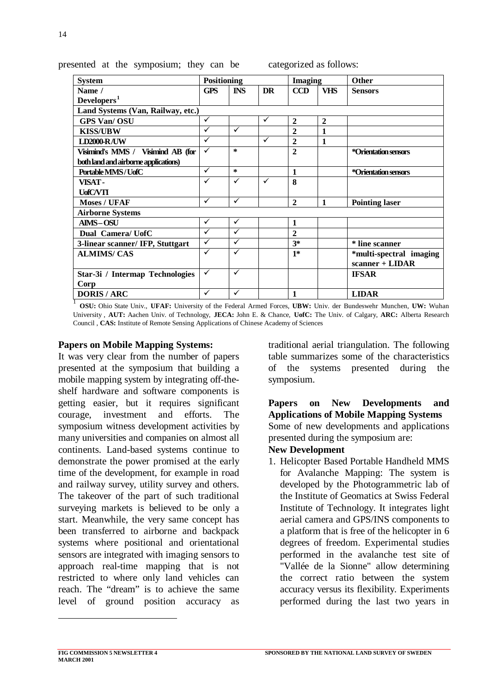| <b>System</b>                                                                                                     | <b>Positioning</b> |              | <b>Imaging</b> |                | <b>Other</b>   |                         |  |
|-------------------------------------------------------------------------------------------------------------------|--------------------|--------------|----------------|----------------|----------------|-------------------------|--|
| Name /                                                                                                            | GPS                | <b>INS</b>   | <b>DR</b>      | <b>CCD</b>     | <b>VHS</b>     | <b>Sensors</b>          |  |
| Developers <sup>1</sup>                                                                                           |                    |              |                |                |                |                         |  |
| Land Systems (Van, Railway, etc.)                                                                                 |                    |              |                |                |                |                         |  |
| <b>GPS Van/OSU</b>                                                                                                | ✓                  |              | ✓              | $\overline{2}$ | $\overline{2}$ |                         |  |
| <b>KISS/UBW</b>                                                                                                   | ✓                  | $\checkmark$ |                | $\overline{2}$ | $\mathbf{1}$   |                         |  |
| <b>LD2000-R/UW</b>                                                                                                | ✓                  |              | ✓              | $\overline{2}$ | 1              |                         |  |
| Visimind's MMS / Visimind AB (for                                                                                 | ✓                  | $\ast$       |                | $\mathbf{2}$   |                | *Orientation sensors    |  |
| both land and airborne applications)                                                                              |                    |              |                |                |                |                         |  |
| Portable MMS/UofC                                                                                                 | ✓                  | $\ast$       |                | $\mathbf{1}$   |                | *Orientation sensors    |  |
| VISAT-                                                                                                            | ✓                  | $\checkmark$ | $\checkmark$   | 8              |                |                         |  |
| <b>UofC/VTI</b>                                                                                                   |                    |              |                |                |                |                         |  |
| <b>Moses / UFAF</b>                                                                                               | ✓                  | ✓            |                | $\overline{2}$ | $\mathbf{1}$   | <b>Pointing laser</b>   |  |
| <b>Airborne Systems</b>                                                                                           |                    |              |                |                |                |                         |  |
| <b>AIMS-OSU</b>                                                                                                   | ✓                  | $\checkmark$ |                | $\mathbf{1}$   |                |                         |  |
| Dual Camera/ UofC                                                                                                 | ✓                  | $\checkmark$ |                | $\overline{2}$ |                |                         |  |
| 3-linear scanner/IFP, Stuttgart                                                                                   | $\checkmark$       | ✓            |                | $3*$           |                | * line scanner          |  |
| <b>ALMIMS/CAS</b>                                                                                                 | ✓                  | ✓            |                | $1*$           |                | *multi-spectral imaging |  |
|                                                                                                                   |                    |              |                |                |                | scanner + LIDAR         |  |
| Star-3i / Intermap Technologies                                                                                   | $\checkmark$       | $\checkmark$ |                |                |                | <b>IFSAR</b>            |  |
| Corp                                                                                                              |                    |              |                |                |                |                         |  |
| <b>DORIS / ARC</b>                                                                                                | ✓                  | $\checkmark$ |                | $\mathbf{1}$   |                | <b>LIDAR</b>            |  |
| OSU: Ohio State Univ., UFAF: University of the Federal Armed Forces, UBW: Univ. der Bundeswehr Munchen, UW: Wuhan |                    |              |                |                |                |                         |  |

presented at the symposium; they can be categorized as follows:

University , **AUT:** Aachen Univ. of Technology, **JECA:** John E. & Chance, **UofC:** The Univ. of Calgary, **ARC:** Alberta Research Council , **CAS:** Institute of Remote Sensing Applications of Chinese Academy of Sciences

#### **Papers on Mobile Mapping Systems:**

It was very clear from the number of papers presented at the symposium that building a mobile mapping system by integrating off-theshelf hardware and software components is getting easier, but it requires significant courage, investment and efforts. The symposium witness development activities by many universities and companies on almost all continents. Land-based systems continue to demonstrate the power promised at the early time of the development, for example in road and railway survey, utility survey and others. The takeover of the part of such traditional surveying markets is believed to be only a start. Meanwhile, the very same concept has been transferred to airborne and backpack systems where positional and orientational sensors are integrated with imaging sensors to approach real-time mapping that is not restricted to where only land vehicles can reach. The "dream" is to achieve the same level of ground position accuracy as

traditional aerial triangulation. The following table summarizes some of the characteristics of the systems presented during the symposium.

#### **Papers on New Developments and Applications of Mobile Mapping Systems** Some of new developments and applications presented during the symposium are:

#### **New Development**

1. Helicopter Based Portable Handheld MMS for Avalanche Mapping: The system is developed by the Photogrammetric lab of the Institute of Geomatics at Swiss Federal Institute of Technology. It integrates light aerial camera and GPS/INS components to a platform that is free of the helicopter in 6 degrees of freedom. Experimental studies performed in the avalanche test site of "Vallée de la Sionne" allow determining the correct ratio between the system accuracy versus its flexibility. Experiments performed during the last two years in

l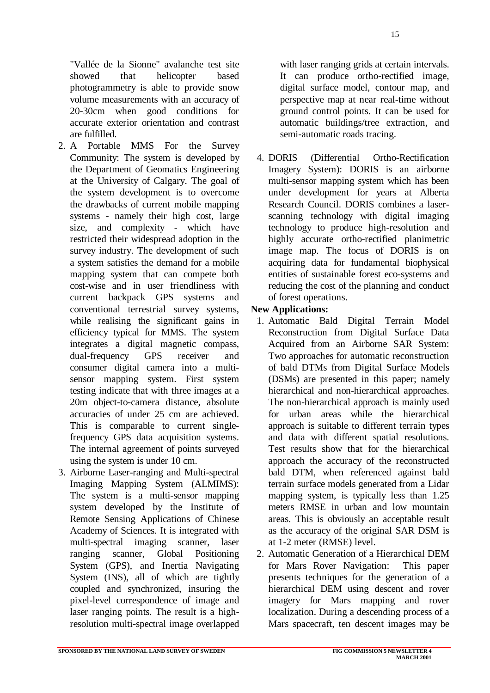"Vallée de la Sionne" avalanche test site showed that helicopter based photogrammetry is able to provide snow volume measurements with an accuracy of 20-30cm when good conditions for accurate exterior orientation and contrast are fulfilled.

- 2. A Portable MMS For the Survey Community: The system is developed by the Department of Geomatics Engineering at the University of Calgary. The goal of the system development is to overcome the drawbacks of current mobile mapping systems - namely their high cost, large size, and complexity - which have restricted their widespread adoption in the survey industry. The development of such a system satisfies the demand for a mobile mapping system that can compete both cost-wise and in user friendliness with current backpack GPS systems and conventional terrestrial survey systems, while realising the significant gains in efficiency typical for MMS. The system integrates a digital magnetic compass, dual-frequency GPS receiver and consumer digital camera into a multisensor mapping system. First system testing indicate that with three images at a 20m object-to-camera distance, absolute accuracies of under 25 cm are achieved. This is comparable to current singlefrequency GPS data acquisition systems. The internal agreement of points surveyed using the system is under 10 cm.
- 3. Airborne Laser-ranging and Multi-spectral Imaging Mapping System (ALMIMS): The system is a multi-sensor mapping system developed by the Institute of Remote Sensing Applications of Chinese Academy of Sciences. It is integrated with multi-spectral imaging scanner, laser ranging scanner, Global Positioning System (GPS), and Inertia Navigating System (INS), all of which are tightly coupled and synchronized, insuring the pixel-level correspondence of image and laser ranging points. The result is a highresolution multi-spectral image overlapped

with laser ranging grids at certain intervals. It can produce ortho-rectified image, digital surface model, contour map, and perspective map at near real-time without ground control points. It can be used for automatic buildings/tree extraction, and semi-automatic roads tracing.

4. DORIS (Differential Ortho-Rectification Imagery System): DORIS is an airborne multi-sensor mapping system which has been under development for years at Alberta Research Council. DORIS combines a laserscanning technology with digital imaging technology to produce high-resolution and highly accurate ortho-rectified planimetric image map. The focus of DORIS is on acquiring data for fundamental biophysical entities of sustainable forest eco-systems and reducing the cost of the planning and conduct of forest operations.

#### **New Applications:**

- 1. Automatic Bald Digital Terrain Model Reconstruction from Digital Surface Data Acquired from an Airborne SAR System: Two approaches for automatic reconstruction of bald DTMs from Digital Surface Models (DSMs) are presented in this paper; namely hierarchical and non-hierarchical approaches. The non-hierarchical approach is mainly used for urban areas while the hierarchical approach is suitable to different terrain types and data with different spatial resolutions. Test results show that for the hierarchical approach the accuracy of the reconstructed bald DTM, when referenced against bald terrain surface models generated from a Lidar mapping system, is typically less than 1.25 meters RMSE in urban and low mountain areas. This is obviously an acceptable result as the accuracy of the original SAR DSM is at 1-2 meter (RMSE) level.
- 2. Automatic Generation of a Hierarchical DEM for Mars Rover Navigation: This paper presents techniques for the generation of a hierarchical DEM using descent and rover imagery for Mars mapping and rover localization. During a descending process of a Mars spacecraft, ten descent images may be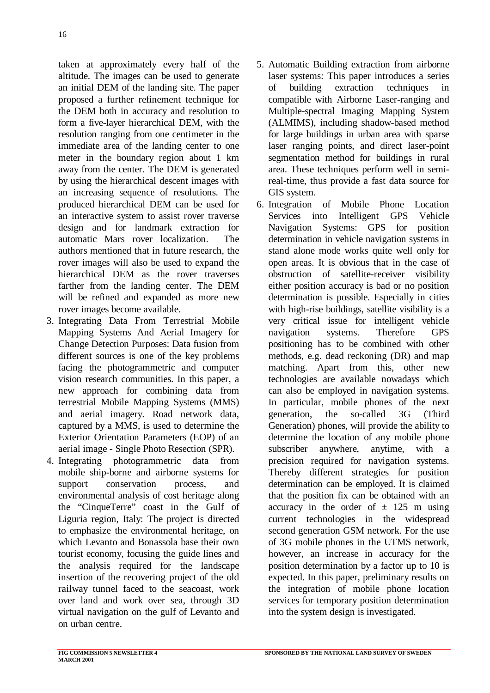taken at approximately every half of the altitude. The images can be used to generate an initial DEM of the landing site. The paper proposed a further refinement technique for the DEM both in accuracy and resolution to form a five-layer hierarchical DEM, with the resolution ranging from one centimeter in the immediate area of the landing center to one meter in the boundary region about 1 km away from the center. The DEM is generated by using the hierarchical descent images with an increasing sequence of resolutions. The produced hierarchical DEM can be used for an interactive system to assist rover traverse design and for landmark extraction for automatic Mars rover localization. The authors mentioned that in future research, the rover images will also be used to expand the hierarchical DEM as the rover traverses farther from the landing center. The DEM will be refined and expanded as more new rover images become available.

- 3. Integrating Data From Terrestrial Mobile Mapping Systems And Aerial Imagery for Change Detection Purposes: Data fusion from different sources is one of the key problems facing the photogrammetric and computer vision research communities. In this paper, a new approach for combining data from terrestrial Mobile Mapping Systems (MMS) and aerial imagery. Road network data, captured by a MMS, is used to determine the Exterior Orientation Parameters (EOP) of an aerial image - Single Photo Resection (SPR).
- 4. Integrating photogrammetric data from mobile ship-borne and airborne systems for support conservation process, and environmental analysis of cost heritage along the "CinqueTerre" coast in the Gulf of Liguria region, Italy: The project is directed to emphasize the environmental heritage, on which Levanto and Bonassola base their own tourist economy, focusing the guide lines and the analysis required for the landscape insertion of the recovering project of the old railway tunnel faced to the seacoast, work over land and work over sea, through 3D virtual navigation on the gulf of Levanto and on urban centre.
- 5. Automatic Building extraction from airborne laser systems: This paper introduces a series of building extraction techniques in compatible with Airborne Laser-ranging and Multiple-spectral Imaging Mapping System (ALMIMS), including shadow-based method for large buildings in urban area with sparse laser ranging points, and direct laser-point segmentation method for buildings in rural area. These techniques perform well in semireal-time, thus provide a fast data source for GIS system.
- 6. Integration of Mobile Phone Location Services into Intelligent GPS Vehicle Navigation Systems: GPS for position determination in vehicle navigation systems in stand alone mode works quite well only for open areas. It is obvious that in the case of obstruction of satellite-receiver visibility either position accuracy is bad or no position determination is possible. Especially in cities with high-rise buildings, satellite visibility is a very critical issue for intelligent vehicle navigation systems. Therefore GPS positioning has to be combined with other methods, e.g. dead reckoning (DR) and map matching. Apart from this, other new technologies are available nowadays which can also be employed in navigation systems. In particular, mobile phones of the next generation, the so-called 3G (Third Generation) phones, will provide the ability to determine the location of any mobile phone subscriber anywhere, anytime, with a precision required for navigation systems. Thereby different strategies for position determination can be employed. It is claimed that the position fix can be obtained with an accuracy in the order of  $\pm$  125 m using current technologies in the widespread second generation GSM network. For the use of 3G mobile phones in the UTMS network, however, an increase in accuracy for the position determination by a factor up to 10 is expected. In this paper, preliminary results on the integration of mobile phone location services for temporary position determination into the system design is investigated.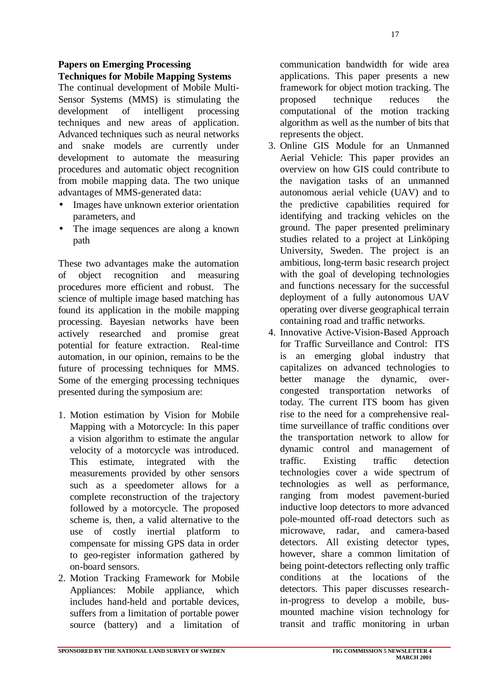#### **SPONSORED BY THE NATIONAL LAND SURVEY OF SWEDEN FIG COMMISSION 5 NEWSLETTER 4**

#### **Papers on Emerging Processing Techniques for Mobile Mapping Systems**

The continual development of Mobile Multi-Sensor Systems (MMS) is stimulating the development of intelligent processing techniques and new areas of application. Advanced techniques such as neural networks and snake models are currently under development to automate the measuring procedures and automatic object recognition from mobile mapping data. The two unique advantages of MMS-generated data:

- Images have unknown exterior orientation parameters, and
- The image sequences are along a known path

These two advantages make the automation of object recognition and measuring procedures more efficient and robust. The science of multiple image based matching has found its application in the mobile mapping processing. Bayesian networks have been actively researched and promise great potential for feature extraction. Real-time automation, in our opinion, remains to be the future of processing techniques for MMS. Some of the emerging processing techniques presented during the symposium are:

- 1. Motion estimation by Vision for Mobile Mapping with a Motorcycle: In this paper a vision algorithm to estimate the angular velocity of a motorcycle was introduced. This estimate, integrated with the measurements provided by other sensors such as a speedometer allows for a complete reconstruction of the trajectory followed by a motorcycle. The proposed scheme is, then, a valid alternative to the use of costly inertial platform to compensate for missing GPS data in order to geo-register information gathered by on-board sensors.
- 2. Motion Tracking Framework for Mobile Appliances: Mobile appliance, which includes hand-held and portable devices, suffers from a limitation of portable power source (battery) and a limitation of

communication bandwidth for wide area applications. This paper presents a new framework for object motion tracking. The proposed technique reduces the computational of the motion tracking algorithm as well as the number of bits that represents the object.

- 3. Online GIS Module for an Unmanned Aerial Vehicle: This paper provides an overview on how GIS could contribute to the navigation tasks of an unmanned autonomous aerial vehicle (UAV) and to the predictive capabilities required for identifying and tracking vehicles on the ground. The paper presented preliminary studies related to a project at Linköping University, Sweden. The project is an ambitious, long-term basic research project with the goal of developing technologies and functions necessary for the successful deployment of a fully autonomous UAV operating over diverse geographical terrain containing road and traffic networks.
- 4. Innovative Active-Vision-Based Approach for Traffic Surveillance and Control: ITS is an emerging global industry that capitalizes on advanced technologies to better manage the dynamic, overcongested transportation networks of today. The current ITS boom has given rise to the need for a comprehensive realtime surveillance of traffic conditions over the transportation network to allow for dynamic control and management of traffic. Existing traffic detection technologies cover a wide spectrum of technologies as well as performance, ranging from modest pavement-buried inductive loop detectors to more advanced pole-mounted off-road detectors such as microwave, radar, and camera-based detectors. All existing detector types, however, share a common limitation of being point-detectors reflecting only traffic conditions at the locations of the detectors. This paper discusses researchin-progress to develop a mobile, busmounted machine vision technology for transit and traffic monitoring in urban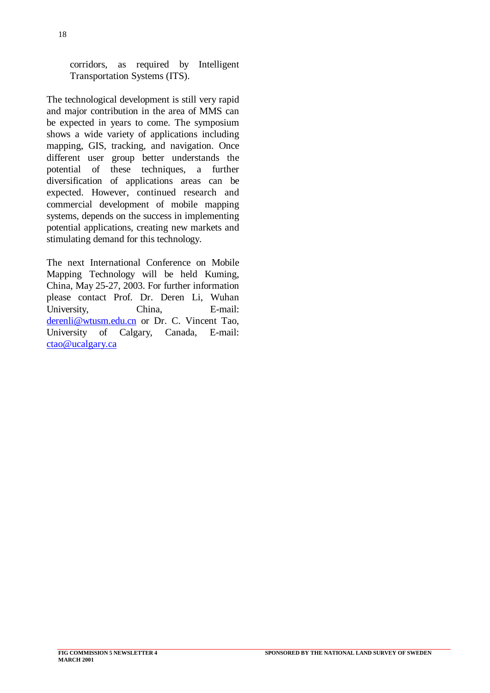corridors, as required by Intelligent Transportation Systems (ITS).

The technological development is still very rapid and major contribution in the area of MMS can be expected in years to come. The symposium shows a wide variety of applications including mapping, GIS, tracking, and navigation. Once different user group better understands the potential of these techniques, a further diversification of applications areas can be expected. However, continued research and commercial development of mobile mapping systems, depends on the success in implementing potential applications, creating new markets and stimulating demand for this technology.

The next International Conference on Mobile Mapping Technology will be held Kuming, China, May 25-27, 2003. For further information please contact Prof. Dr. Deren Li, Wuhan University, China, E-mail: derenli@wtusm.edu.cn or Dr. C. Vincent Tao, University of Calgary, Canada, E-mail: ctao@ucalgary.ca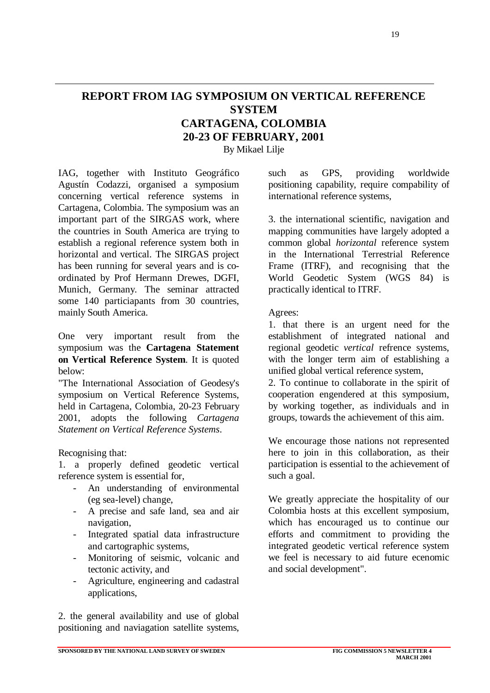# **REPORT FROM IAG SYMPOSIUM ON VERTICAL REFERENCE SYSTEM CARTAGENA, COLOMBIA 20-23 OF FEBRUARY, 2001**

By Mikael Lilje

IAG, together with Instituto Geográfico Agustín Codazzi, organised a symposium concerning vertical reference systems in Cartagena, Colombia. The symposium was an important part of the SIRGAS work, where the countries in South America are trying to establish a regional reference system both in horizontal and vertical. The SIRGAS project has been running for several years and is coordinated by Prof Hermann Drewes, DGFI, Munich, Germany. The seminar attracted some 140 particiapants from 30 countries, mainly South America.

One very important result from the symposium was the **Cartagena Statement on Vertical Reference System**. It is quoted below:

"The International Association of Geodesy's symposium on Vertical Reference Systems, held in Cartagena, Colombia, 20-23 February 2001, adopts the following *Cartagena Statement on Vertical Reference Systems*.

Recognising that:

1. a properly defined geodetic vertical reference system is essential for,

- An understanding of environmental (eg sea-level) change,
- A precise and safe land, sea and air navigation,
- Integrated spatial data infrastructure and cartographic systems,
- Monitoring of seismic, volcanic and tectonic activity, and
- Agriculture, engineering and cadastral applications,

2. the general availability and use of global positioning and naviagation satellite systems, such as GPS, providing worldwide positioning capability, require compability of international reference systems,

3. the international scientific, navigation and mapping communities have largely adopted a common global *horizontal* reference system in the International Terrestrial Reference Frame (ITRF), and recognising that the World Geodetic System (WGS 84) is practically identical to ITRF.

#### Agrees:

1. that there is an urgent need for the establishment of integrated national and regional geodetic *vertical* refrence systems, with the longer term aim of establishing a unified global vertical reference system,

2. To continue to collaborate in the spirit of cooperation engendered at this symposium, by working together, as individuals and in groups, towards the achievement of this aim.

We encourage those nations not represented here to join in this collaboration, as their participation is essential to the achievement of such a goal.

We greatly appreciate the hospitality of our Colombia hosts at this excellent symposium, which has encouraged us to continue our efforts and commitment to providing the integrated geodetic vertical reference system we feel is necessary to aid future ecenomic and social development".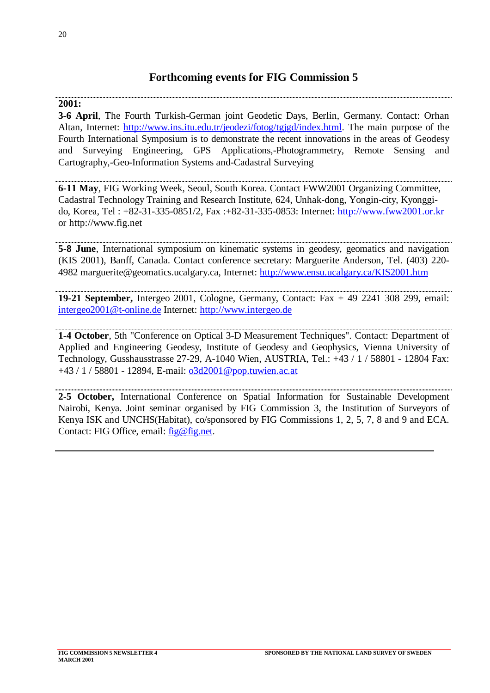# **Forthcoming events for FIG Commission 5**

# **2001:**

**3-6 April**, The Fourth Turkish-German joint Geodetic Days, Berlin, Germany. Contact: Orhan Altan, Internet: http://www.ins.itu.edu.tr/jeodezi/fotog/tgjgd/index.html. The main purpose of the Fourth International Symposium is to demonstrate the recent innovations in the areas of Geodesy and Surveying Engineering, GPS Applications,-Photogrammetry, Remote Sensing and Cartography,-Geo-Information Systems and-Cadastral Surveying

**6-11 May**, FIG Working Week, Seoul, South Korea. Contact FWW2001 Organizing Committee, Cadastral Technology Training and Research Institute, 624, Unhak-dong, Yongin-city, Kyonggido, Korea, Tel : +82-31-335-0851/2, Fax :+82-31-335-0853: Internet: http://www.fww2001.or.kr or http://www.fig.net

**5-8 June**, International symposium on kinematic systems in geodesy, geomatics and navigation (KIS 2001), Banff, Canada. Contact conference secretary: Marguerite Anderson, Tel. (403) 220- 4982 marguerite@geomatics.ucalgary.ca, Internet: http://www.ensu.ucalgary.ca/KIS2001.htm

**19-21 September,** Intergeo 2001, Cologne, Germany, Contact: Fax + 49 2241 308 299, email: intergeo2001@t-online.de Internet: http://www.intergeo.de

**1-4 October**, 5th "Conference on Optical 3-D Measurement Techniques". Contact: Department of

Applied and Engineering Geodesy, Institute of Geodesy and Geophysics, Vienna University of Technology, Gusshausstrasse 27-29, A-1040 Wien, AUSTRIA, Tel.: +43 / 1 / 58801 - 12804 Fax: +43 / 1 / 58801 - 12894, E-mail: o3d2001@pop.tuwien.ac.at

**2-5 October,** International Conference on Spatial Information for Sustainable Development Nairobi, Kenya. Joint seminar organised by FIG Commission 3, the Institution of Surveyors of Kenya ISK and UNCHS(Habitat), co/sponsored by FIG Commissions 1, 2, 5, 7, 8 and 9 and ECA. Contact: FIG Office, email: fig@fig.net.